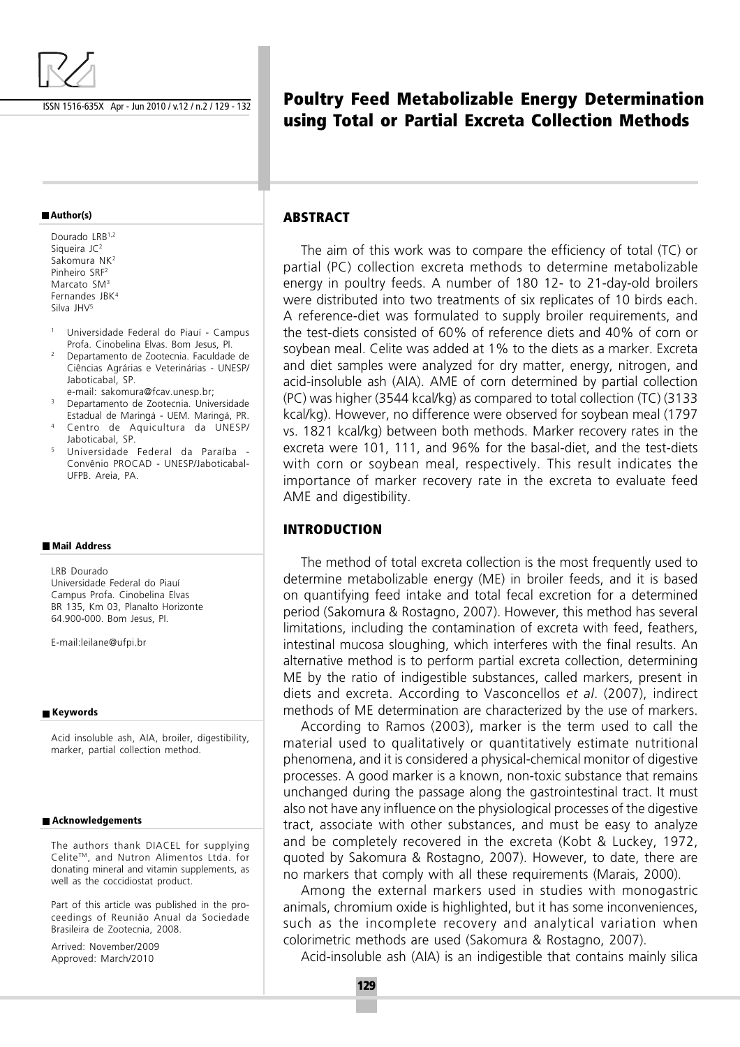

ISSN 1516-635X Apr - Jun 2010 / v.12 / n.2 / 129 - 132

#### **Author(s)**

Dourado LRB<sup>1,2</sup> Siqueira JC<sup>2</sup> Sakomura NK<sup>2</sup> Pinheiro SRF<sup>2</sup> Marcato SM<sup>3</sup> Fernandes JBK<sup>4</sup> Silva JHV<sup>5</sup>

- <sup>1</sup> Universidade Federal do Piauí Campus Profa. Cinobelina Elvas. Bom Jesus, PI.
- <sup>2</sup> Departamento de Zootecnia. Faculdade de Ciências Agrárias e Veterinárias - UNESP/ Jaboticabal, SP.
- e-mail: sakomura@fcav.unesp.br; <sup>3</sup> Departamento de Zootecnia. Universidade
- Estadual de Maringá UEM. Maringá, PR. Centro de Aquicultura da UNESP/ Jaboticabal, SP.
- <sup>5</sup> Universidade Federal da Paraíba Convênio PROCAD - UNESP/Jaboticabal-UFPB. Areia, PA.

#### **Mail Address**

LRB Dourado Universidade Federal do Piauí Campus Profa. Cinobelina Elvas BR 135, Km 03, Planalto Horizonte 64.900-000. Bom Jesus, PI.

E-mail:leilane@ufpi.br

#### **Keywords**

Acid insoluble ash, AIA, broiler, digestibility, marker, partial collection method.

#### **Acknowledgements**

The authors thank DIACEL for supplying Celite™, and Nutron Alimentos Ltda. for donating mineral and vitamin supplements, as well as the coccidiostat product.

Part of this article was published in the proceedings of Reunião Anual da Sociedade Brasileira de Zootecnia, 2008.

Arrived: November/2009 Approved: March/2010

# **Poultry Feed Metabolizable Energy Determination using Total or Partial Excreta Collection Methods**

## **ABSTRACT**

The aim of this work was to compare the efficiency of total (TC) or partial (PC) collection excreta methods to determine metabolizable energy in poultry feeds. A number of 180 12- to 21-day-old broilers were distributed into two treatments of six replicates of 10 birds each. A reference-diet was formulated to supply broiler requirements, and the test-diets consisted of 60% of reference diets and 40% of corn or soybean meal. Celite was added at 1% to the diets as a marker. Excreta and diet samples were analyzed for dry matter, energy, nitrogen, and acid-insoluble ash (AIA). AME of corn determined by partial collection (PC) was higher (3544 kcal/kg) as compared to total collection (TC) (3133 kcal/kg). However, no difference were observed for soybean meal (1797 vs. 1821 kcal/kg) between both methods. Marker recovery rates in the excreta were 101, 111, and 96% for the basal-diet, and the test-diets with corn or soybean meal, respectively. This result indicates the importance of marker recovery rate in the excreta to evaluate feed AME and digestibility.

### **INTRODUCTION**

The method of total excreta collection is the most frequently used to determine metabolizable energy (ME) in broiler feeds, and it is based on quantifying feed intake and total fecal excretion for a determined period (Sakomura & Rostagno, 2007). However, this method has several limitations, including the contamination of excreta with feed, feathers, intestinal mucosa sloughing, which interferes with the final results. An alternative method is to perform partial excreta collection, determining ME by the ratio of indigestible substances, called markers, present in diets and excreta. According to Vasconcellos et al. (2007), indirect methods of ME determination are characterized by the use of markers.

According to Ramos (2003), marker is the term used to call the material used to qualitatively or quantitatively estimate nutritional phenomena, and it is considered a physical-chemical monitor of digestive processes. A good marker is a known, non-toxic substance that remains unchanged during the passage along the gastrointestinal tract. It must also not have any influence on the physiological processes of the digestive tract, associate with other substances, and must be easy to analyze and be completely recovered in the excreta (Kobt & Luckey, 1972, quoted by Sakomura & Rostagno, 2007). However, to date, there are no markers that comply with all these requirements (Marais, 2000).

Among the external markers used in studies with monogastric animals, chromium oxide is highlighted, but it has some inconveniences, such as the incomplete recovery and analytical variation when colorimetric methods are used (Sakomura & Rostagno, 2007).

Acid-insoluble ash (AIA) is an indigestible that contains mainly silica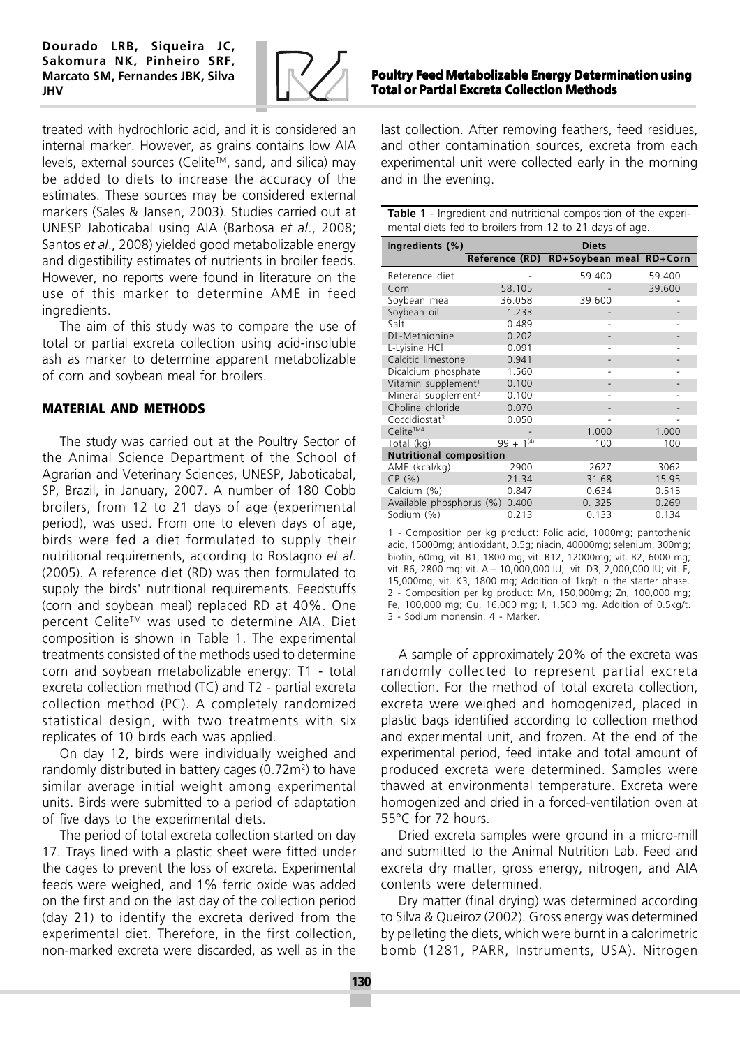Dourado LRB, Siqueira JC, Sakomura NK, Pinheiro SRF, Marcato SM, Fernandes JBK, Silva JHV



treated with hydrochloric acid, and it is considered an internal marker. However, as grains contains low AIA levels, external sources (Celite™, sand, and silica) may be added to diets to increase the accuracy of the estimates. These sources may be considered external markers (Sales & Jansen, 2003). Studies carried out at UNESP Jaboticabal using AIA (Barbosa et al., 2008; Santos et al., 2008) yielded good metabolizable energy and digestibility estimates of nutrients in broiler feeds. However, no reports were found in literature on the use of this marker to determine AME in feed ingredients.

The aim of this study was to compare the use of total or partial excreta collection using acid-insoluble ash as marker to determine apparent metabolizable of corn and soybean meal for broilers.

## **MATERIAL AND METHODS**

The study was carried out at the Poultry Sector of the Animal Science Department of the School of Agrarian and Veterinary Sciences, UNESP, Jaboticabal, SP, Brazil, in January, 2007. A number of 180 Cobb broilers, from 12 to 21 days of age (experimental period), was used. From one to eleven days of age, birds were fed a diet formulated to supply their nutritional requirements, according to Rostagno et al. (2005). A reference diet (RD) was then formulated to supply the birds' nutritional requirements. Feedstuffs (corn and soybean meal) replaced RD at 40%. One percent Celite™ was used to determine AIA. Diet composition is shown in Table 1. The experimental treatments consisted of the methods used to determine corn and soybean metabolizable energy: T1 - total excreta collection method (TC) and T2 - partial excreta collection method (PC). A completely randomized statistical design, with two treatments with six replicates of 10 birds each was applied.

On day 12, birds were individually weighed and randomly distributed in battery cages (0.72m<sup>2</sup>) to have similar average initial weight among experimental units. Birds were submitted to a period of adaptation of five days to the experimental diets.

The period of total excreta collection started on day 17. Trays lined with a plastic sheet were fitted under the cages to prevent the loss of excreta. Experimental feeds were weighed, and 1% ferric oxide was added on the first and on the last day of the collection period (day 21) to identify the excreta derived from the experimental diet. Therefore, in the first collection, non-marked excreta were discarded, as well as in the

## Poultry Feed Metabolizable Energy Determination using Total or Partial Excreta Collection Methods

last collection. After removing feathers, feed residues, and other contamination sources, excreta from each experimental unit were collected early in the morning and in the evening.

| <b>Table 1</b> - Ingredient and nutritional composition of the experi-<br>mental diets fed to broilers from 12 to 21 days of age. |                |        |                                        |  |  |  |  |
|-----------------------------------------------------------------------------------------------------------------------------------|----------------|--------|----------------------------------------|--|--|--|--|
| Ingredients (%)                                                                                                                   | <b>Diets</b>   |        |                                        |  |  |  |  |
|                                                                                                                                   |                |        | Reference (RD) RD+Soybean meal RD+Corn |  |  |  |  |
| Reference diet                                                                                                                    |                | 59.400 | 59.400                                 |  |  |  |  |
| Corn                                                                                                                              | 58.105         |        | 39.600                                 |  |  |  |  |
| Soybean meal                                                                                                                      | 36.058         | 39.600 |                                        |  |  |  |  |
| Soybean oil                                                                                                                       | 1.233          |        |                                        |  |  |  |  |
| Salt                                                                                                                              | 0.489          |        |                                        |  |  |  |  |
| DL-Methionine                                                                                                                     | 0.202          |        |                                        |  |  |  |  |
| L-Lyisine HCl                                                                                                                     | 0.091          |        |                                        |  |  |  |  |
| Calcitic limestone                                                                                                                | 0.941          |        |                                        |  |  |  |  |
| Dicalcium phosphate                                                                                                               | 1.560          |        |                                        |  |  |  |  |
| Vitamin supplement <sup>1</sup>                                                                                                   | 0.100          |        |                                        |  |  |  |  |
| Mineral supplement <sup>2</sup>                                                                                                   | 0.100          |        |                                        |  |  |  |  |
| Choline chloride                                                                                                                  | 0.070          |        |                                        |  |  |  |  |
| Coccidiostat <sup>3</sup>                                                                                                         | 0.050          |        |                                        |  |  |  |  |
| Celite™ <sup>4</sup>                                                                                                              |                | 1.000  | 1.000                                  |  |  |  |  |
| Total (kg)                                                                                                                        | $99 + 1^{(4)}$ | 100    | 100                                    |  |  |  |  |
| <b>Nutritional composition</b>                                                                                                    |                |        |                                        |  |  |  |  |
| AME (kcal/kg)                                                                                                                     | 2900           | 2627   | 3062                                   |  |  |  |  |
| CP(% )                                                                                                                            | 21.34          | 31.68  | 15.95                                  |  |  |  |  |
| Calcium (%)                                                                                                                       | 0.847          | 0.634  | 0.515                                  |  |  |  |  |
| Available phosphorus (%) 0.400                                                                                                    |                | 0.325  | 0.269                                  |  |  |  |  |
| Sodium (%)                                                                                                                        | 0.213          | 0.133  | 0.134                                  |  |  |  |  |

1 - Composition per kg product: Folic acid, 1000mg; pantothenic acid, 15000mg; antioxidant, 0.5g; niacin, 40000mg; selenium, 300mg; biotin, 60mg; vit. B1, 1800 mg; vit. B12, 12000mg; vit. B2, 6000 mg; vit. B6, 2800 mg; vit. A – 10,000,000 IU; vit. D3, 2,000,000 IU; vit. E, 15,000mg; vit. K3, 1800 mg; Addition of 1kg/t in the starter phase. 2 - Composition per kg product: Mn, 150,000mg; Zn, 100,000 mg; Fe, 100,000 mg; Cu, 16,000 mg; I, 1,500 mg. Addition of 0.5kg/t. 3 - Sodium monensin. 4 - Marker.

A sample of approximately 20% of the excreta was randomly collected to represent partial excreta collection. For the method of total excreta collection, excreta were weighed and homogenized, placed in plastic bags identified according to collection method and experimental unit, and frozen. At the end of the experimental period, feed intake and total amount of produced excreta were determined. Samples were thawed at environmental temperature. Excreta were homogenized and dried in a forced-ventilation oven at 55°C for 72 hours.

Dried excreta samples were ground in a micro-mill and submitted to the Animal Nutrition Lab. Feed and excreta dry matter, gross energy, nitrogen, and AIA contents were determined.

Dry matter (final drying) was determined according to Silva & Queiroz (2002). Gross energy was determined by pelleting the diets, which were burnt in a calorimetric bomb (1281, PARR, Instruments, USA). Nitrogen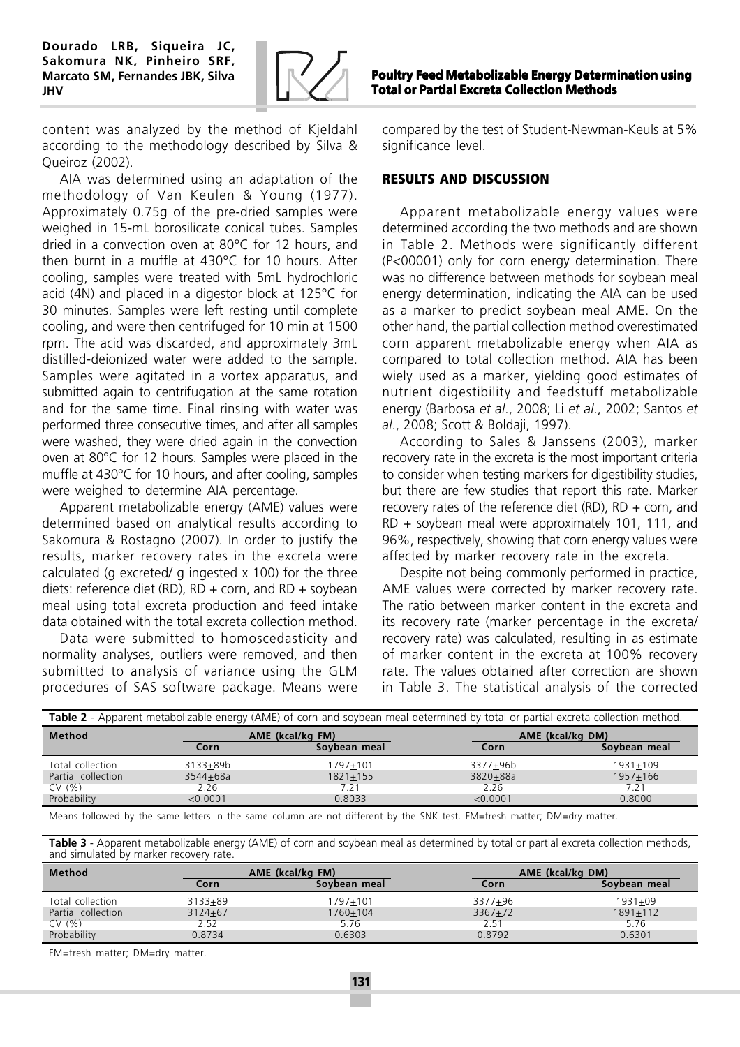

content was analyzed by the method of Kjeldahl according to the methodology described by Silva & Queiroz (2002).

AIA was determined using an adaptation of the methodology of Van Keulen & Young (1977). Approximately 0.75g of the pre-dried samples were weighed in 15-mL borosilicate conical tubes. Samples dried in a convection oven at 80°C for 12 hours, and then burnt in a muffle at 430°C for 10 hours. After cooling, samples were treated with 5mL hydrochloric acid (4N) and placed in a digestor block at 125°C for 30 minutes. Samples were left resting until complete cooling, and were then centrifuged for 10 min at 1500 rpm. The acid was discarded, and approximately 3mL distilled-deionized water were added to the sample. Samples were agitated in a vortex apparatus, and submitted again to centrifugation at the same rotation and for the same time. Final rinsing with water was performed three consecutive times, and after all samples were washed, they were dried again in the convection oven at 80°C for 12 hours. Samples were placed in the muffle at 430°C for 10 hours, and after cooling, samples were weighed to determine AIA percentage.

Apparent metabolizable energy (AME) values were determined based on analytical results according to Sakomura & Rostagno (2007). In order to justify the results, marker recovery rates in the excreta were calculated (g excreted/ g ingested x 100) for the three diets: reference diet (RD),  $RD + corr$ , and  $RD + s$  soybean meal using total excreta production and feed intake data obtained with the total excreta collection method.

Data were submitted to homoscedasticity and normality analyses, outliers were removed, and then submitted to analysis of variance using the GLM procedures of SAS software package. Means were

Poultry Feed Metabolizable Energy Determination using Total or Partial Excreta Collection Methods

compared by the test of Student-Newman-Keuls at 5% significance level.

# **RESULTS AND DISCUSSION**

Apparent metabolizable energy values were determined according the two methods and are shown in Table 2. Methods were significantly different (P<00001) only for corn energy determination. There was no difference between methods for soybean meal energy determination, indicating the AIA can be used as a marker to predict soybean meal AME. On the other hand, the partial collection method overestimated corn apparent metabolizable energy when AIA as compared to total collection method. AIA has been wiely used as a marker, yielding good estimates of nutrient digestibility and feedstuff metabolizable energy (Barbosa et al., 2008; Li et al., 2002; Santos et al., 2008; Scott & Boldaji, 1997).

According to Sales & Janssens (2003), marker recovery rate in the excreta is the most important criteria to consider when testing markers for digestibility studies, but there are few studies that report this rate. Marker recovery rates of the reference diet (RD), RD  $+$  corn, and RD + soybean meal were approximately 101, 111, and 96%, respectively, showing that corn energy values were affected by marker recovery rate in the excreta.

Despite not being commonly performed in practice, AME values were corrected by marker recovery rate. The ratio between marker content in the excreta and its recovery rate (marker percentage in the excreta/ recovery rate) was calculated, resulting in as estimate of marker content in the excreta at 100% recovery rate. The values obtained after correction are shown in Table 3. The statistical analysis of the corrected

| Table 2 - Apparent metabolizable energy (AME) of corn and soybean meal determined by total or partial excreta collection method. |                  |              |                  |              |  |  |  |
|----------------------------------------------------------------------------------------------------------------------------------|------------------|--------------|------------------|--------------|--|--|--|
| Method                                                                                                                           | AME (kcal/kg FM) |              | AME (kcal/kg DM) |              |  |  |  |
|                                                                                                                                  | Corn             | Soybean meal | Corn             | Soybean meal |  |  |  |
| Total collection                                                                                                                 | 3133+89b         | 1797+101     | 3377+96b         | 1931+109     |  |  |  |
| Partial collection                                                                                                               | 3544+68a         | $1821 + 155$ | 3820+88a         | $1957 + 166$ |  |  |  |
| CV(% )                                                                                                                           | 2.26             | 7.21         | 2.26             | 7.21         |  |  |  |
| Probability                                                                                                                      | < 0.0001         | 0.8033       | < 0.0001         | 0.8000       |  |  |  |

Means followed by the same letters in the same column are not different by the SNK test. FM=fresh matter; DM=dry matter.

Table 3 - Apparent metabolizable energy (AME) of corn and soybean meal as determined by total or partial excreta collection methods, and simulated by marker recovery rate.

| Method             |             | AME (kcal/kg FM) |             | AME (kcal/kg DM) |  |
|--------------------|-------------|------------------|-------------|------------------|--|
|                    | Corn        | Soybean meal     | Corn        | Soybean meal     |  |
| Total collection   | $3133 + 89$ | 1797+101         | 3377+96     | $1931 + 09$      |  |
| Partial collection | $3124 + 67$ | 1760+104         | $3367 + 72$ | $1891 + 112$     |  |
| CV(% )             | 2.52        | 5.76             | 2.51        | 5.76             |  |
| Probability        | 0.8734      | 0.6303           | 0.8792      | 0.6301           |  |

FM=fresh matter; DM=dry matter.